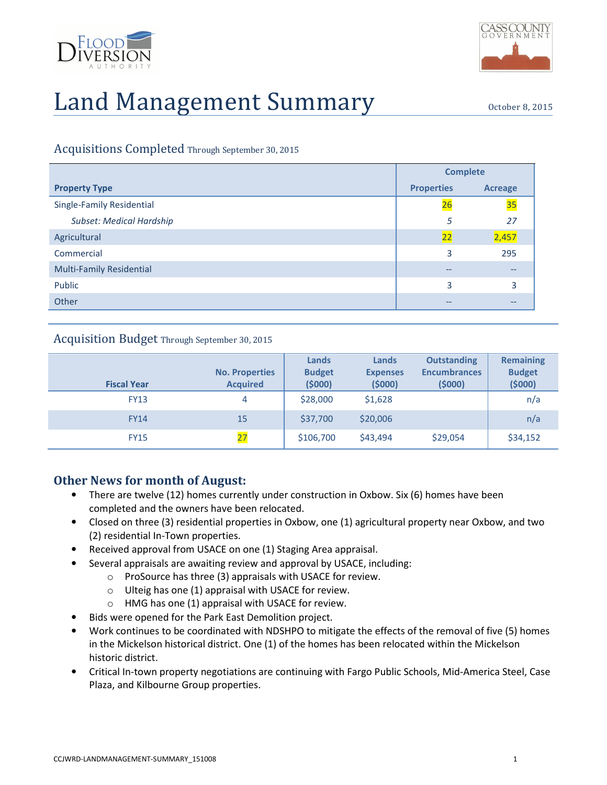



# Land Management Summary **Decrember 8, 2015**

#### Acquisitions Completed Through September 30, 2015

|                                 | <b>Complete</b>   |                |
|---------------------------------|-------------------|----------------|
| <b>Property Type</b>            | <b>Properties</b> | <b>Acreage</b> |
| Single-Family Residential       | 26                | 35             |
| <b>Subset: Medical Hardship</b> | 5                 | 27             |
| Agricultural                    | 22                | 2,457          |
| Commercial                      | 3                 | 295            |
| <b>Multi-Family Residential</b> | --                | --             |
| Public                          | 3                 | 3              |
| Other                           | --                |                |

#### Acquisition Budget Through September 30, 2015

| <b>Fiscal Year</b> | <b>No. Properties</b><br><b>Acquired</b> | Lands<br><b>Budget</b><br>(5000) | Lands<br><b>Expenses</b><br>(5000) | <b>Outstanding</b><br><b>Encumbrances</b><br>(5000) | <b>Remaining</b><br><b>Budget</b><br>(5000) |
|--------------------|------------------------------------------|----------------------------------|------------------------------------|-----------------------------------------------------|---------------------------------------------|
| <b>FY13</b>        | 4                                        | \$28,000                         | \$1,628                            |                                                     | n/a                                         |
| <b>FY14</b>        | 15                                       | \$37,700                         | \$20,006                           |                                                     | n/a                                         |
| <b>FY15</b>        | 27                                       | \$106,700                        | \$43,494                           | \$29,054                                            | \$34,152                                    |

### **Other News for month of August:**

- There are twelve (12) homes currently under construction in Oxbow. Six (6) homes have been completed and the owners have been relocated.
- Closed on three (3) residential properties in Oxbow, one (1) agricultural property near Oxbow, and two (2) residential In-Town properties.
- Received approval from USACE on one (1) Staging Area appraisal.
- Several appraisals are awaiting review and approval by USACE, including:
	- o ProSource has three (3) appraisals with USACE for review.
	- o Ulteig has one (1) appraisal with USACE for review.
	- o HMG has one (1) appraisal with USACE for review.
- Bids were opened for the Park East Demolition project.
- Work continues to be coordinated with NDSHPO to mitigate the effects of the removal of five (5) homes in the Mickelson historical district. One (1) of the homes has been relocated within the Mickelson historic district.
- Critical In-town property negotiations are continuing with Fargo Public Schools, Mid-America Steel, Case Plaza, and Kilbourne Group properties.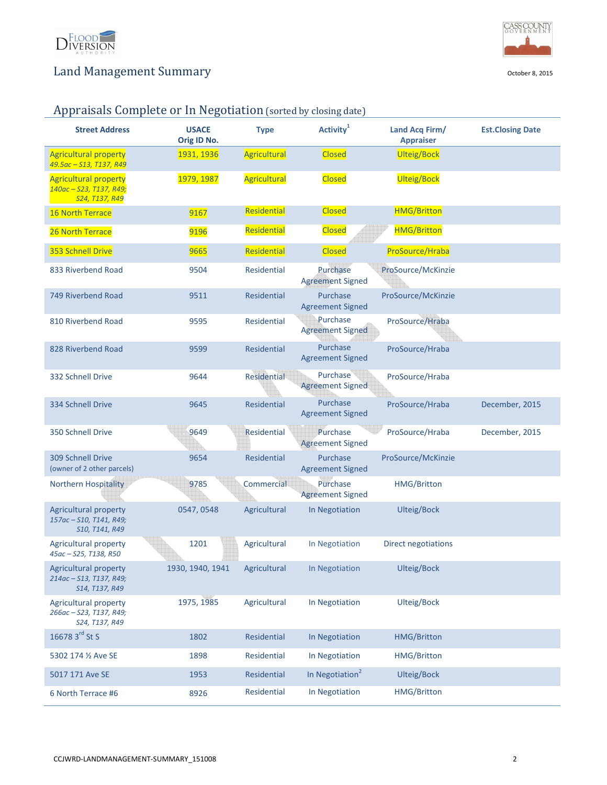

### Land Management Summary and the state of the control october 8, 2015



### Appraisals Complete or In Negotiation (sorted by closing date)

| <b>Street Address</b>                                                     | <b>USACE</b><br>Orig ID No. | <b>Type</b>        | Activity <sup>1</sup>               | Land Acq Firm/<br><b>Appraiser</b> | <b>Est.Closing Date</b> |
|---------------------------------------------------------------------------|-----------------------------|--------------------|-------------------------------------|------------------------------------|-------------------------|
| <b>Agricultural property</b><br>49.5ac - S13, T137, R49                   | 1931, 1936                  | Agricultural       | <b>Closed</b>                       | <b>Ulteig/Bock</b>                 |                         |
| <b>Agricultural property</b><br>140ac - S23, T137, R49;<br>S24, T137, R49 | 1979, 1987                  | Agricultural       | <b>Closed</b>                       | <b>Ulteig/Bock</b>                 |                         |
| <b>16 North Terrace</b>                                                   | 9167                        | Residential        | <b>Closed</b>                       | <b>HMG/Britton</b>                 |                         |
| 26 North Terrace                                                          | 9196                        | Residential        | <b>Closed</b>                       | <b>HMG/Britton</b>                 |                         |
| 353 Schnell Drive                                                         | 9665                        | Residential        | <b>Closed</b>                       | ProSource/Hraba                    |                         |
| 833 Riverbend Road                                                        | 9504                        | <b>Residential</b> | Purchase<br><b>Agreement Signed</b> | ProSource/McKinzie                 |                         |
| 749 Riverbend Road                                                        | 9511                        | <b>Residential</b> | Purchase<br><b>Agreement Signed</b> | ProSource/McKinzie                 |                         |
| 810 Riverbend Road                                                        | 9595                        | <b>Residential</b> | Purchase<br><b>Agreement Signed</b> | ProSource/Hraba                    |                         |
| 828 Riverbend Road                                                        | 9599                        | <b>Residential</b> | Purchase<br><b>Agreement Signed</b> | ProSource/Hraba                    |                         |
| 332 Schnell Drive                                                         | 9644                        | Residential        | Purchase<br><b>Agreement Signed</b> | ProSource/Hraba                    |                         |
| 334 Schnell Drive                                                         | 9645                        | <b>Residential</b> | Purchase<br><b>Agreement Signed</b> | ProSource/Hraba                    | December, 2015          |
| 350 Schnell Drive                                                         | 9649                        | <b>Residential</b> | Purchase<br><b>Agreement Signed</b> | ProSource/Hraba                    | December, 2015          |
| 309 Schnell Drive<br>(owner of 2 other parcels)                           | 9654                        | <b>Residential</b> | Purchase<br><b>Agreement Signed</b> | ProSource/McKinzie                 |                         |
| <b>Northern Hospitality</b>                                               | 9785                        | Commercial         | Purchase<br><b>Agreement Signed</b> | HMG/Britton                        |                         |
| <b>Agricultural property</b><br>157ac - S10, T141, R49;<br>S10, T141, R49 | 0547, 0548                  | Agricultural       | In Negotiation                      | <b>Ulteig/Bock</b>                 |                         |
| <b>Agricultural property</b><br>45ac - S25, T138, R50                     | 1201                        | Agricultural       | In Negotiation                      | Direct negotiations                |                         |
| <b>Agricultural property</b><br>214ac - S13, T137, R49;<br>S14, T137, R49 | 1930, 1940, 1941            | Agricultural       | In Negotiation                      | Ulteig/Bock                        |                         |
| <b>Agricultural property</b><br>266ac - S23, T137, R49;<br>S24, T137, R49 | 1975, 1985                  | Agricultural       | In Negotiation                      | Ulteig/Bock                        |                         |
| 16678 3rd St S                                                            | 1802                        | Residential        | In Negotiation                      | HMG/Britton                        |                         |
| 5302 174 1/2 Ave SE                                                       | 1898                        | <b>Residential</b> | In Negotiation                      | <b>HMG/Britton</b>                 |                         |
| 5017 171 Ave SE                                                           | 1953                        | <b>Residential</b> | In Negotiation <sup>2</sup>         | Ulteig/Bock                        |                         |
| 6 North Terrace #6                                                        | 8926                        | Residential        | In Negotiation                      | HMG/Britton                        |                         |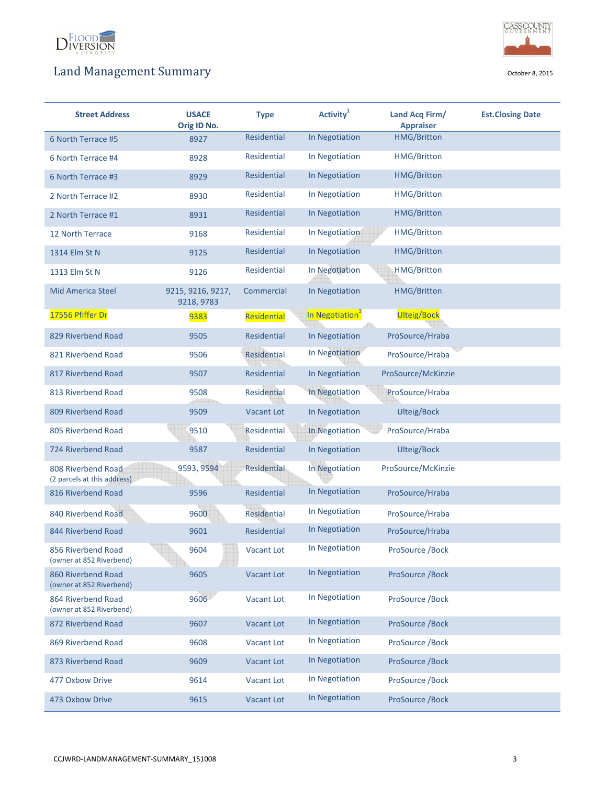

# Land Management Summary and the settlement of the Summary october 8, 2015



| <b>Street Address</b>                             | <b>USACE</b><br>Orig ID No.     | <b>Type</b>        | Activity <sup>1</sup>       | Land Acq Firm/<br><b>Appraiser</b> | <b>Est.Closing Date</b> |
|---------------------------------------------------|---------------------------------|--------------------|-----------------------------|------------------------------------|-------------------------|
| 6 North Terrace #5                                | 8927                            | <b>Residential</b> | In Negotiation              | <b>HMG/Britton</b>                 |                         |
| 6 North Terrace #4                                | 8928                            | Residential        | In Negotiation              | <b>HMG/Britton</b>                 |                         |
| 6 North Terrace #3                                | 8929                            | <b>Residential</b> | In Negotiation              | <b>HMG/Britton</b>                 |                         |
| 2 North Terrace #2                                | 8930                            | <b>Residential</b> | In Negotiation              | <b>HMG/Britton</b>                 |                         |
| 2 North Terrace #1                                | 8931                            | Residential        | In Negotiation              | <b>HMG/Britton</b>                 |                         |
| 12 North Terrace                                  | 9168                            | Residential        | In Negotiation              | HMG/Britton                        |                         |
| 1314 Elm St N                                     | 9125                            | Residential        | In Negotiation              | <b>HMG/Britton</b>                 |                         |
| 1313 Elm St N                                     | 9126                            | Residential        | In Negotiation              | <b>HMG/Britton</b>                 |                         |
| <b>Mid America Steel</b>                          | 9215, 9216, 9217,<br>9218, 9783 | Commercial         | In Negotiation              | <b>HMG/Britton</b>                 |                         |
| 17556 Pfiffer Dr                                  | 9383                            | Residential        | In Negotiation <sup>2</sup> | <b>Ulteig/Bock</b>                 |                         |
| 829 Riverbend Road                                | 9505                            | Residential        | In Negotiation              | ProSource/Hraba                    |                         |
| 821 Riverbend Road                                | 9506                            | Residential        | In Negotiation              | ProSource/Hraba                    |                         |
| 817 Riverbend Road                                | 9507                            | Residential        | In Negotiation              | ProSource/McKinzie                 |                         |
| 813 Riverbend Road                                | 9508                            | Residential        | In Negotiation              | ProSource/Hraba                    |                         |
| 809 Riverbend Road                                | 9509                            | <b>Vacant Lot</b>  | In Negotiation              | <b>Ulteig/Bock</b>                 |                         |
| 805 Riverbend Road                                | 9510                            | <b>Residential</b> | In Negotiation              | ProSource/Hraba                    |                         |
| 724 Riverbend Road                                | 9587                            | <b>Residential</b> | In Negotiation              | <b>Ulteig/Bock</b>                 |                         |
| 808 Riverbend Road<br>(2 parcels at this address) | 9593, 9594                      | <b>Residential</b> | In Negotiation              | ProSource/McKinzie                 |                         |
| 816 Riverbend Road                                | 9596                            | <b>Residential</b> | In Negotiation              | ProSource/Hraba                    |                         |
| 840 Riverbend Road                                | 9600                            | <b>Residential</b> | In Negotiation              | ProSource/Hraba                    |                         |
| 844 Riverbend Road                                | 9601                            | Residential        | In Negotiation              | ProSource/Hraba                    |                         |
| 856 Riverbend Road<br>(owner at 852 Riverbend)    | 9604                            | <b>Vacant Lot</b>  | In Negotiation              | ProSource / Bock                   |                         |
| 860 Riverbend Road<br>(owner at 852 Riverbend)    | 9605                            | <b>Vacant Lot</b>  | In Negotiation              | ProSource / Bock                   |                         |
| 864 Riverbend Road<br>(owner at 852 Riverbend)    | 9606                            | <b>Vacant Lot</b>  | In Negotiation              | ProSource / Bock                   |                         |
| 872 Riverbend Road                                | 9607                            | <b>Vacant Lot</b>  | In Negotiation              | ProSource / Bock                   |                         |
| 869 Riverbend Road                                | 9608                            | <b>Vacant Lot</b>  | In Negotiation              | ProSource / Bock                   |                         |
| 873 Riverbend Road                                | 9609                            | <b>Vacant Lot</b>  | In Negotiation              | ProSource / Bock                   |                         |
| 477 Oxbow Drive                                   | 9614                            | <b>Vacant Lot</b>  | In Negotiation              | ProSource / Bock                   |                         |
| 473 Oxbow Drive                                   | 9615                            | <b>Vacant Lot</b>  | In Negotiation              | ProSource / Bock                   |                         |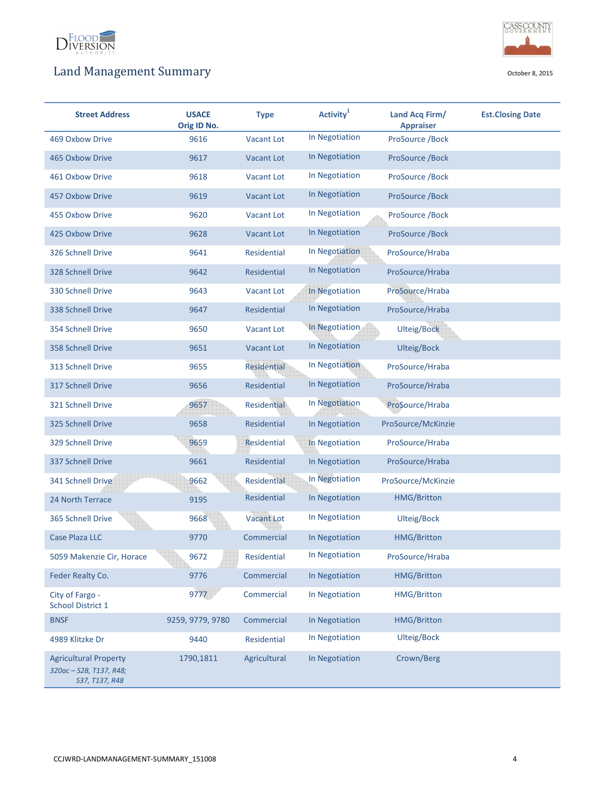

# Land Management Summary and the settlement of the Summary october 8, 2015



| <b>Street Address</b>                                                     | <b>USACE</b><br>Orig ID No. | <b>Type</b>        | Activity <sup>1</sup> | Land Acq Firm/<br><b>Appraiser</b> | <b>Est.Closing Date</b> |
|---------------------------------------------------------------------------|-----------------------------|--------------------|-----------------------|------------------------------------|-------------------------|
| 469 Oxbow Drive                                                           | 9616                        | <b>Vacant Lot</b>  | In Negotiation        | ProSource / Bock                   |                         |
| 465 Oxbow Drive                                                           | 9617                        | <b>Vacant Lot</b>  | In Negotiation        | ProSource / Bock                   |                         |
| 461 Oxbow Drive                                                           | 9618                        | Vacant Lot         | In Negotiation        | ProSource / Bock                   |                         |
| 457 Oxbow Drive                                                           | 9619                        | <b>Vacant Lot</b>  | In Negotiation        | ProSource / Bock                   |                         |
| 455 Oxbow Drive                                                           | 9620                        | Vacant Lot         | In Negotiation        | ProSource / Bock                   |                         |
| 425 Oxbow Drive                                                           | 9628                        | <b>Vacant Lot</b>  | In Negotiation        | ProSource / Bock                   |                         |
| 326 Schnell Drive                                                         | 9641                        | Residential        | In Negotiation        | ProSource/Hraba                    |                         |
| 328 Schnell Drive                                                         | 9642                        | <b>Residential</b> | In Negotiation        | ProSource/Hraba                    |                         |
| 330 Schnell Drive                                                         | 9643                        | Vacant Lot         | In Negotiation        | ProSource/Hraba                    |                         |
| 338 Schnell Drive                                                         | 9647                        | Residential        | In Negotiation        | ProSource/Hraba                    |                         |
| 354 Schnell Drive                                                         | 9650                        | <b>Vacant Lot</b>  | In Negotiation        | <b>Ulteig/Bock</b>                 |                         |
| 358 Schnell Drive                                                         | 9651                        | <b>Vacant Lot</b>  | In Negotiation        | <b>Ulteig/Bock</b>                 |                         |
| 313 Schnell Drive                                                         | 9655                        | <b>Residential</b> | In Negotiation        | ProSource/Hraba                    |                         |
| 317 Schnell Drive                                                         | 9656                        | <b>Residential</b> | In Negotiation        | ProSource/Hraba                    |                         |
| 321 Schnell Drive                                                         | 9657                        | Residential        | In Negotiation        | ProSource/Hraba                    |                         |
| 325 Schnell Drive                                                         | 9658                        | <b>Residential</b> | In Negotiation        | ProSource/McKinzie                 |                         |
| 329 Schnell Drive                                                         | 9659                        | <b>Residential</b> | In Negotiation        | ProSource/Hraba                    |                         |
| 337 Schnell Drive                                                         | 9661                        | <b>Residential</b> | In Negotiation        | ProSource/Hraba                    |                         |
| 341 Schnell Drive                                                         | 9662                        | Residential        | In Negotiation        | ProSource/McKinzie                 |                         |
| 24 North Terrace                                                          | 9195                        | Residential        | In Negotiation        | <b>HMG/Britton</b>                 |                         |
| 365 Schnell Drive                                                         | 9668                        | <b>Vacant Lot</b>  | In Negotiation        | Ulteig/Bock                        |                         |
| Case Plaza LLC                                                            | 9770                        | Commercial         | In Negotiation        | <b>HMG/Britton</b>                 |                         |
| 5059 Makenzie Cir, Horace                                                 | 9672                        | Residential        | In Negotiation        | ProSource/Hraba                    |                         |
| Feder Realty Co.                                                          | 9776                        | Commercial         | In Negotiation        | <b>HMG/Britton</b>                 |                         |
| City of Fargo -<br><b>School District 1</b>                               | 9777                        | Commercial         | In Negotiation        | <b>HMG/Britton</b>                 |                         |
| <b>BNSF</b>                                                               | 9259, 9779, 9780            | Commercial         | In Negotiation        | <b>HMG/Britton</b>                 |                         |
| 4989 Klitzke Dr                                                           | 9440                        | Residential        | In Negotiation        | Ulteig/Bock                        |                         |
| <b>Agricultural Property</b><br>320ac - S28, T137, R48;<br>S37, T137, R48 | 1790,1811                   | Agricultural       | In Negotiation        | Crown/Berg                         |                         |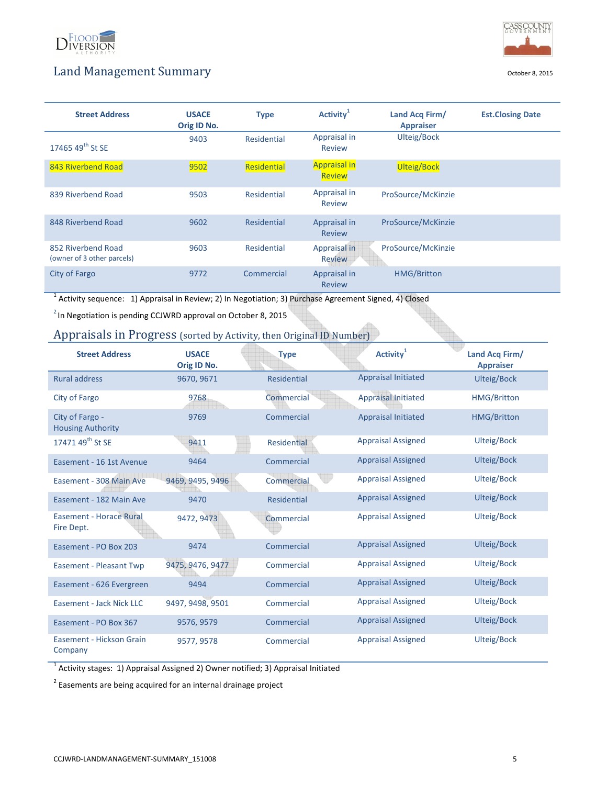

### Land Management Summary and the state of the control october 8, 2015



| <b>Street Address</b>                            | <b>USACE</b><br>Orig ID No. | <b>Type</b> | Activity <sup>1</sup>                | Land Acq Firm/<br><b>Appraiser</b> | <b>Est.Closing Date</b> |
|--------------------------------------------------|-----------------------------|-------------|--------------------------------------|------------------------------------|-------------------------|
| 17465 49 <sup>th</sup> St SE                     | 9403                        | Residential | Appraisal in<br>Review               | Ulteig/Bock                        |                         |
| 843 Riverbend Road                               | 9502                        | Residential | <b>Appraisal in</b><br><b>Review</b> | Ulteig/Bock                        |                         |
| 839 Riverbend Road                               | 9503                        | Residential | Appraisal in<br>Review               | ProSource/McKinzie                 |                         |
| 848 Riverbend Road                               | 9602                        | Residential | Appraisal in<br>Review               | ProSource/McKinzie                 |                         |
| 852 Riverbend Road<br>(owner of 3 other parcels) | 9603                        | Residential | Appraisal in<br>Review               | ProSource/McKinzie                 |                         |
| City of Fargo                                    | 9772                        | Commercial  | Appraisal in<br><b>Review</b>        | <b>HMG/Britton</b>                 |                         |

<sup>1</sup> Activity sequence: 1) Appraisal in Review; 2) In Negotiation; 3) Purchase Agreement Signed, 4) Closed

 $2$ In Negotiation is pending CCJWRD approval on October 8, 2015

### Appraisals in Progress (sorted by Activity, then Original ID Number)

| <b>Street Address</b>                        | <b>USACE</b><br>Orig ID No. | <b>Type</b>        | Activity <sup>1</sup>      | Land Acg Firm/<br><b>Appraiser</b> |
|----------------------------------------------|-----------------------------|--------------------|----------------------------|------------------------------------|
| <b>Rural address</b>                         | 9670, 9671                  | <b>Residential</b> | <b>Appraisal Initiated</b> | Ulteig/Bock                        |
| City of Fargo                                | 9768                        | Commercial         | <b>Appraisal Initiated</b> | <b>HMG/Britton</b>                 |
| City of Fargo -<br><b>Housing Authority</b>  | 9769                        | Commercial         | <b>Appraisal Initiated</b> | <b>HMG/Britton</b>                 |
| 17471 49 <sup>th</sup> St SE                 | 9411                        | <b>Residential</b> | <b>Appraisal Assigned</b>  | Ulteig/Bock                        |
| Easement - 16 1st Avenue                     | 9464                        | Commercial         | <b>Appraisal Assigned</b>  | Ulteig/Bock                        |
| Easement - 308 Main Ave                      | 9469, 9495, 9496            | Commercial         | <b>Appraisal Assigned</b>  | Ulteig/Bock                        |
| Easement - 182 Main Ave                      | 9470                        | <b>Residential</b> | <b>Appraisal Assigned</b>  | Ulteig/Bock                        |
| <b>Easement - Horace Rural</b><br>Fire Dept. | 9472, 9473                  | Commercial         | <b>Appraisal Assigned</b>  | Ulteig/Bock                        |
| Easement - PO Box 203                        | 9474                        | Commercial         | <b>Appraisal Assigned</b>  | Ulteig/Bock                        |
| Easement - Pleasant Twp                      | 9475, 9476, 9477            | Commercial         | <b>Appraisal Assigned</b>  | Ulteig/Bock                        |
| Easement - 626 Evergreen                     | 9494                        | Commercial         | <b>Appraisal Assigned</b>  | Ulteig/Bock                        |
| Easement - Jack Nick LLC                     | 9497, 9498, 9501            | Commercial         | <b>Appraisal Assigned</b>  | Ulteig/Bock                        |
| Easement - PO Box 367                        | 9576, 9579                  | Commercial         | <b>Appraisal Assigned</b>  | Ulteig/Bock                        |
| Easement - Hickson Grain<br>Company          | 9577, 9578                  | Commercial         | <b>Appraisal Assigned</b>  | Ulteig/Bock                        |

 $^1$  Activity stages: 1) Appraisal Assigned 2) Owner notified; 3) Appraisal Initiated

 $2$  Easements are being acquired for an internal drainage project